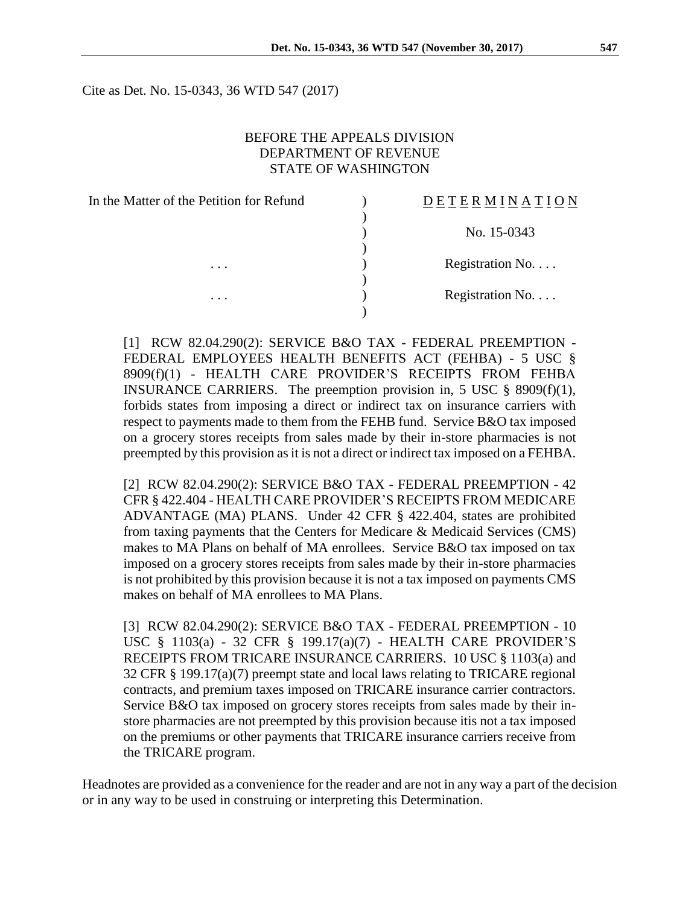Cite as Det. No. 15-0343, 36 WTD 547 (2017)

#### BEFORE THE APPEALS DIVISION DEPARTMENT OF REVENUE STATE OF WASHINGTON

 $\lambda$ 

)

)

)

In the Matter of the Petition for Refund  $\qquad \qquad$  )

#### D E T E R M I N A T I O N

) No. 15-0343

... Registration No....

... Registration No....

[1] RCW 82.04.290(2): SERVICE B&O TAX - FEDERAL PREEMPTION - FEDERAL EMPLOYEES HEALTH BENEFITS ACT (FEHBA) - 5 USC § 8909(f)(1) - HEALTH CARE PROVIDER'S RECEIPTS FROM FEHBA INSURANCE CARRIERS. The preemption provision in, 5 USC § 8909(f)(1), forbids states from imposing a direct or indirect tax on insurance carriers with respect to payments made to them from the FEHB fund. Service B&O tax imposed on a grocery stores receipts from sales made by their in-store pharmacies is not preempted by this provision as it is not a direct or indirect tax imposed on a FEHBA.

[2] RCW 82.04.290(2): SERVICE B&O TAX - FEDERAL PREEMPTION - 42 CFR § 422.404 - HEALTH CARE PROVIDER'S RECEIPTS FROM MEDICARE ADVANTAGE (MA) PLANS. Under 42 CFR § 422.404, states are prohibited from taxing payments that the Centers for Medicare & Medicaid Services (CMS) makes to MA Plans on behalf of MA enrollees. Service B&O tax imposed on tax imposed on a grocery stores receipts from sales made by their in-store pharmacies is not prohibited by this provision because it is not a tax imposed on payments CMS makes on behalf of MA enrollees to MA Plans.

[3] RCW 82.04.290(2): SERVICE B&O TAX - FEDERAL PREEMPTION - 10 USC § 1103(a) - 32 CFR § 199.17(a)(7) - HEALTH CARE PROVIDER'S RECEIPTS FROM TRICARE INSURANCE CARRIERS. 10 USC § 1103(a) and 32 CFR § 199.17(a)(7) preempt state and local laws relating to TRICARE regional contracts, and premium taxes imposed on TRICARE insurance carrier contractors. Service B&O tax imposed on grocery stores receipts from sales made by their instore pharmacies are not preempted by this provision because itis not a tax imposed on the premiums or other payments that TRICARE insurance carriers receive from the TRICARE program.

Headnotes are provided as a convenience for the reader and are not in any way a part of the decision or in any way to be used in construing or interpreting this Determination.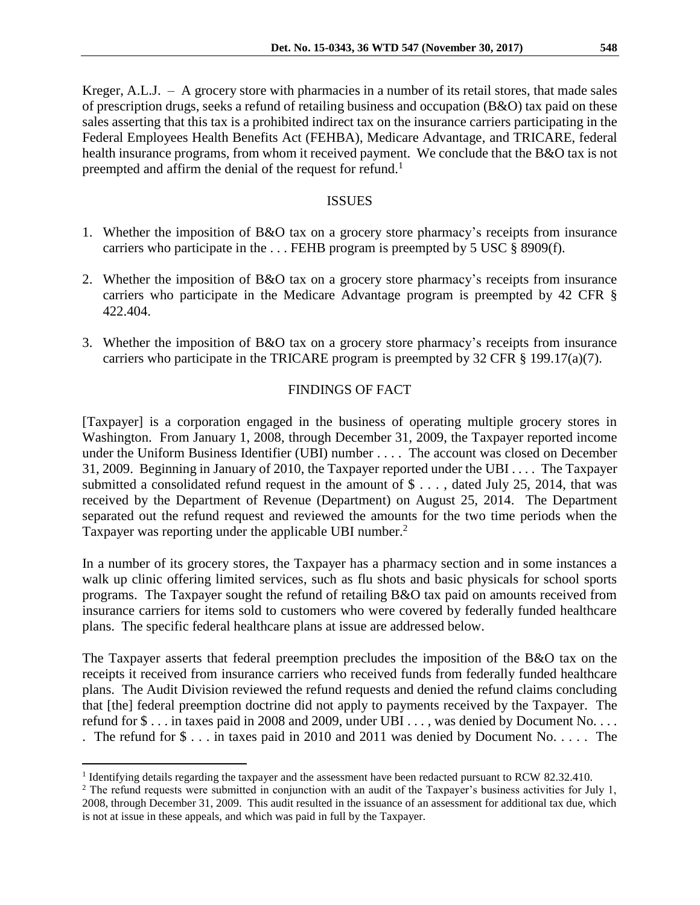Kreger, A.L.J. – A grocery store with pharmacies in a number of its retail stores, that made sales of prescription drugs, seeks a refund of retailing business and occupation (B&O) tax paid on these sales asserting that this tax is a prohibited indirect tax on the insurance carriers participating in the Federal Employees Health Benefits Act (FEHBA), Medicare Advantage, and TRICARE, federal health insurance programs, from whom it received payment. We conclude that the B&O tax is not preempted and affirm the denial of the request for refund.<sup>1</sup>

#### ISSUES

- 1. Whether the imposition of B&O tax on a grocery store pharmacy's receipts from insurance carriers who participate in the . . . FEHB program is preempted by 5 USC § 8909(f).
- 2. Whether the imposition of B&O tax on a grocery store pharmacy's receipts from insurance carriers who participate in the Medicare Advantage program is preempted by 42 CFR § 422.404.
- 3. Whether the imposition of B&O tax on a grocery store pharmacy's receipts from insurance carriers who participate in the TRICARE program is preempted by 32 CFR § 199.17(a)(7).

# FINDINGS OF FACT

[Taxpayer] is a corporation engaged in the business of operating multiple grocery stores in Washington. From January 1, 2008, through December 31, 2009, the Taxpayer reported income under the Uniform Business Identifier (UBI) number . . . . The account was closed on December 31, 2009. Beginning in January of 2010, the Taxpayer reported under the UBI . . . . The Taxpayer submitted a consolidated refund request in the amount of  $\text{\$} \ldots$ , dated July 25, 2014, that was received by the Department of Revenue (Department) on August 25, 2014. The Department separated out the refund request and reviewed the amounts for the two time periods when the Taxpayer was reporting under the applicable UBI number.<sup>2</sup>

In a number of its grocery stores, the Taxpayer has a pharmacy section and in some instances a walk up clinic offering limited services, such as flu shots and basic physicals for school sports programs. The Taxpayer sought the refund of retailing B&O tax paid on amounts received from insurance carriers for items sold to customers who were covered by federally funded healthcare plans. The specific federal healthcare plans at issue are addressed below.

The Taxpayer asserts that federal preemption precludes the imposition of the B&O tax on the receipts it received from insurance carriers who received funds from federally funded healthcare plans. The Audit Division reviewed the refund requests and denied the refund claims concluding that [the] federal preemption doctrine did not apply to payments received by the Taxpayer. The refund for \$ . . . in taxes paid in 2008 and 2009, under UBI . . . , was denied by Document No. . . . . The refund for \$ . . . in taxes paid in 2010 and 2011 was denied by Document No. . . . . The

 $\overline{a}$ <sup>1</sup> Identifying details regarding the taxpayer and the assessment have been redacted pursuant to RCW 82.32.410.

<sup>&</sup>lt;sup>2</sup> The refund requests were submitted in conjunction with an audit of the Taxpayer's business activities for July 1, 2008, through December 31, 2009. This audit resulted in the issuance of an assessment for additional tax due, which is not at issue in these appeals, and which was paid in full by the Taxpayer.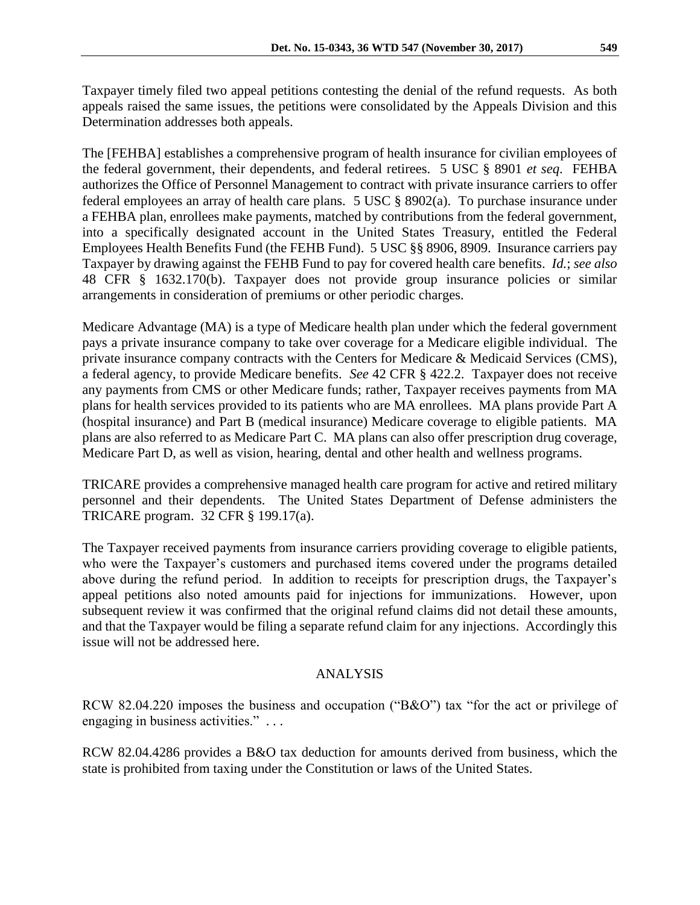Taxpayer timely filed two appeal petitions contesting the denial of the refund requests. As both appeals raised the same issues, the petitions were consolidated by the Appeals Division and this Determination addresses both appeals.

The [FEHBA] establishes a comprehensive program of health insurance for civilian employees of the federal government, their dependents, and federal retirees. 5 USC § 8901 *et seq*. FEHBA authorizes the Office of Personnel Management to contract with private insurance carriers to offer federal employees an array of health care plans. 5 USC § 8902(a). To purchase insurance under a FEHBA plan, enrollees make payments, matched by contributions from the federal government, into a specifically designated account in the United States Treasury, entitled the Federal Employees Health Benefits Fund (the FEHB Fund). 5 USC §§ 8906, 8909. Insurance carriers pay Taxpayer by drawing against the FEHB Fund to pay for covered health care benefits. *Id.*; *see also*  48 CFR § 1632.170(b). Taxpayer does not provide group insurance policies or similar arrangements in consideration of premiums or other periodic charges.

Medicare Advantage (MA) is a type of Medicare health plan under which the federal government pays a private insurance company to take over coverage for a Medicare eligible individual. The private insurance company contracts with the Centers for Medicare & Medicaid Services (CMS), a federal agency, to provide Medicare benefits. *See* 42 CFR § 422.2. Taxpayer does not receive any payments from CMS or other Medicare funds; rather, Taxpayer receives payments from MA plans for health services provided to its patients who are MA enrollees. MA plans provide Part A (hospital insurance) and Part B (medical insurance) Medicare coverage to eligible patients. MA plans are also referred to as Medicare Part C. MA plans can also offer prescription drug coverage, Medicare Part D, as well as vision, hearing, dental and other health and wellness programs.

TRICARE provides a comprehensive managed health care program for active and retired military personnel and their dependents. The United States Department of Defense administers the TRICARE program. 32 CFR § 199.17(a).

The Taxpayer received payments from insurance carriers providing coverage to eligible patients, who were the Taxpayer's customers and purchased items covered under the programs detailed above during the refund period. In addition to receipts for prescription drugs, the Taxpayer's appeal petitions also noted amounts paid for injections for immunizations. However, upon subsequent review it was confirmed that the original refund claims did not detail these amounts, and that the Taxpayer would be filing a separate refund claim for any injections. Accordingly this issue will not be addressed here.

## ANALYSIS

RCW 82.04.220 imposes the business and occupation ("B&O") tax "for the act or privilege of engaging in business activities." . . .

RCW 82.04.4286 provides a B&O tax deduction for amounts derived from business, which the state is prohibited from taxing under the Constitution or laws of the United States.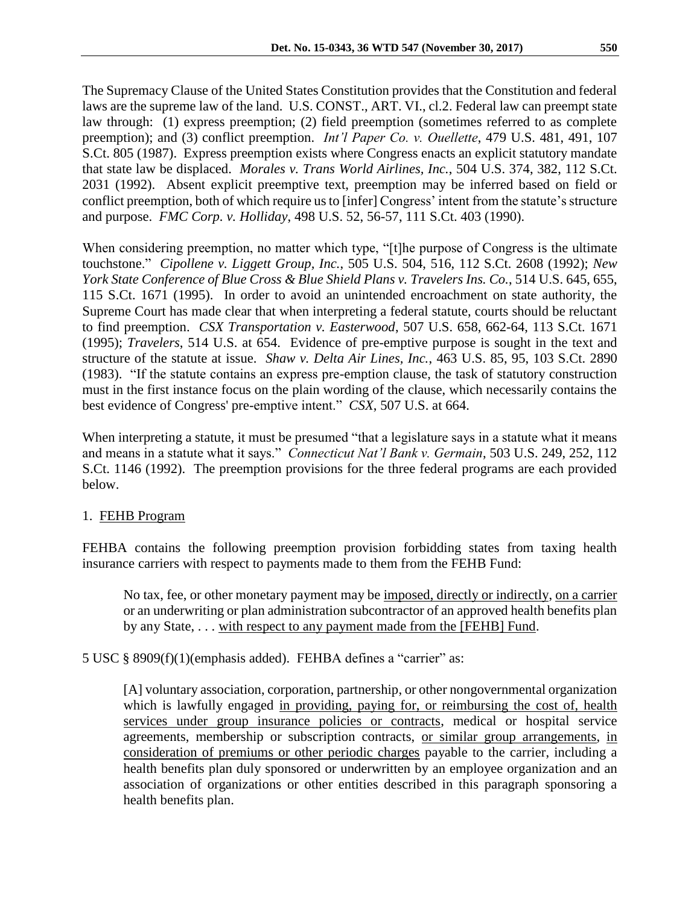The Supremacy Clause of the United States Constitution provides that the Constitution and federal laws are the supreme law of the land. U.S. CONST., ART. VI., cl.2. Federal law can preempt state law through: (1) express preemption; (2) field preemption (sometimes referred to as complete preemption); and (3) conflict preemption. *Int'l Paper Co. v. Ouellette*, 479 U.S. 481, 491, 107 S.Ct. 805 (1987). Express preemption exists where Congress enacts an explicit statutory mandate that state law be displaced. *Morales v. Trans World Airlines, Inc.*, 504 U.S. 374, 382, 112 S.Ct. 2031 (1992). Absent explicit preemptive text, preemption may be inferred based on field or conflict preemption, both of which require us to [infer] Congress' intent from the statute's structure and purpose. *FMC Corp. v. Holliday*, 498 U.S. 52, 56-57, 111 S.Ct. 403 (1990).

When considering preemption, no matter which type, "[t]he purpose of Congress is the ultimate touchstone." *Cipollene v. Liggett Group, Inc.*, 505 U.S. 504, 516, 112 S.Ct. 2608 (1992); *New York State Conference of Blue Cross & Blue Shield Plans v. Travelers Ins. Co.*, 514 U.S. 645, 655, 115 S.Ct. 1671 (1995). In order to avoid an unintended encroachment on state authority, the Supreme Court has made clear that when interpreting a federal statute, courts should be reluctant to find preemption. *CSX Transportation v. Easterwood*, 507 U.S. 658, 662-64, 113 S.Ct. 1671 (1995); *Travelers*, 514 U.S. at 654. Evidence of pre-emptive purpose is sought in the text and structure of the statute at issue. *Shaw v. Delta Air Lines, Inc.*, 463 U.S. 85, 95, 103 S.Ct. 2890 (1983). "If the statute contains an express pre-emption clause, the task of statutory construction must in the first instance focus on the plain wording of the clause, which necessarily contains the best evidence of Congress' pre-emptive intent." *CSX*, 507 U.S. at 664.

When interpreting a statute, it must be presumed "that a legislature says in a statute what it means and means in a statute what it says." *Connecticut Nat'l Bank v. Germain*, 503 U.S. 249, 252, 112 S.Ct. 1146 (1992). The preemption provisions for the three federal programs are each provided below.

## 1. FEHB Program

FEHBA contains the following preemption provision forbidding states from taxing health insurance carriers with respect to payments made to them from the FEHB Fund:

No tax, fee, or other monetary payment may be imposed, directly or indirectly, on a carrier or an underwriting or plan administration subcontractor of an approved health benefits plan by any State, . . . with respect to any payment made from the [FEHB] Fund.

5 USC § 8909(f)(1)(emphasis added). FEHBA defines a "carrier" as:

[A] voluntary association, corporation, partnership, or other nongovernmental organization which is lawfully engaged in providing, paying for, or reimbursing the cost of, health services under group insurance policies or contracts, medical or hospital service agreements, membership or subscription contracts, or similar group arrangements, in consideration of premiums or other periodic charges payable to the carrier, including a health benefits plan duly sponsored or underwritten by an employee organization and an association of organizations or other entities described in this paragraph sponsoring a health benefits plan.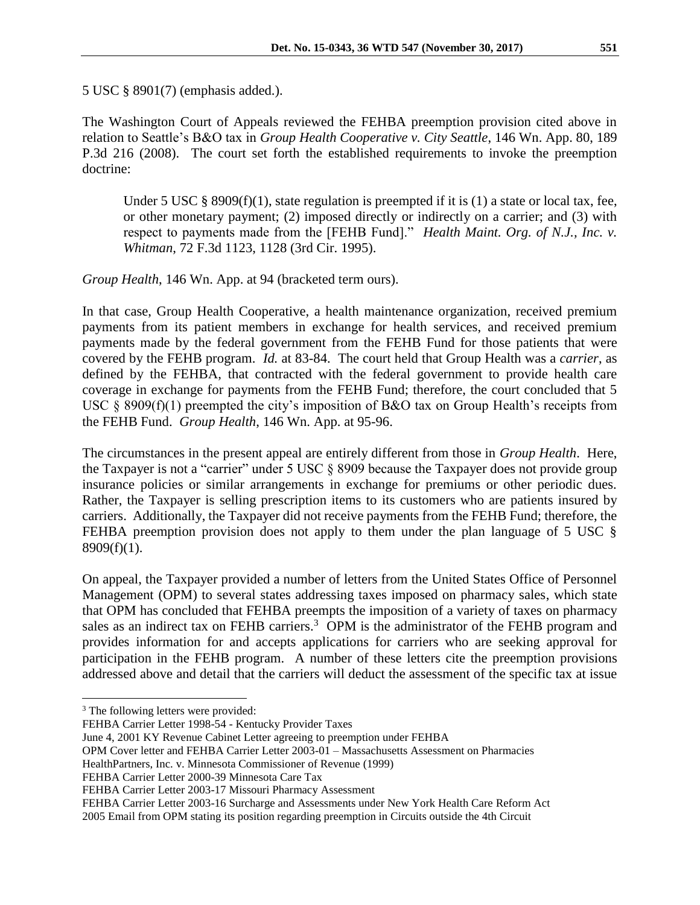5 USC § 8901(7) (emphasis added.).

The Washington Court of Appeals reviewed the FEHBA preemption provision cited above in relation to Seattle's B&O tax in *Group Health Cooperative v. City Seattle*, 146 Wn. App. 80, 189 P.3d 216 (2008). The court set forth the established requirements to invoke the preemption doctrine:

Under 5 USC  $\S$  8909(f)(1), state regulation is preempted if it is (1) a state or local tax, fee, or other monetary payment; (2) imposed directly or indirectly on a carrier; and (3) with respect to payments made from the [FEHB Fund]." *Health Maint. Org. of N.J., Inc. v. Whitman*, 72 F.3d 1123, 1128 (3rd Cir. 1995).

*Group Health*, 146 Wn. App. at 94 (bracketed term ours).

In that case, Group Health Cooperative, a health maintenance organization, received premium payments from its patient members in exchange for health services, and received premium payments made by the federal government from the FEHB Fund for those patients that were covered by the FEHB program. *Id.* at 83-84. The court held that Group Health was a *carrier*, as defined by the FEHBA, that contracted with the federal government to provide health care coverage in exchange for payments from the FEHB Fund; therefore, the court concluded that 5 USC § 8909(f)(1) preempted the city's imposition of B&O tax on Group Health's receipts from the FEHB Fund. *Group Health*, 146 Wn. App. at 95-96.

The circumstances in the present appeal are entirely different from those in *Group Health*. Here, the Taxpayer is not a "carrier" under 5 USC § 8909 because the Taxpayer does not provide group insurance policies or similar arrangements in exchange for premiums or other periodic dues. Rather, the Taxpayer is selling prescription items to its customers who are patients insured by carriers. Additionally, the Taxpayer did not receive payments from the FEHB Fund; therefore, the FEHBA preemption provision does not apply to them under the plan language of 5 USC § 8909(f)(1).

On appeal, the Taxpayer provided a number of letters from the United States Office of Personnel Management (OPM) to several states addressing taxes imposed on pharmacy sales, which state that OPM has concluded that FEHBA preempts the imposition of a variety of taxes on pharmacy sales as an indirect tax on FEHB carriers.<sup>3</sup> OPM is the administrator of the FEHB program and provides information for and accepts applications for carriers who are seeking approval for participation in the FEHB program. A number of these letters cite the preemption provisions addressed above and detail that the carriers will deduct the assessment of the specific tax at issue

 $\overline{a}$ 

<sup>&</sup>lt;sup>3</sup> The following letters were provided:

FEHBA Carrier Letter 1998-54 - Kentucky Provider Taxes

June 4, 2001 KY Revenue Cabinet Letter agreeing to preemption under FEHBA

OPM Cover letter and FEHBA Carrier Letter 2003-01 – Massachusetts Assessment on Pharmacies

HealthPartners, Inc. v. Minnesota Commissioner of Revenue (1999)

FEHBA Carrier Letter 2000-39 Minnesota Care Tax

FEHBA Carrier Letter 2003-17 Missouri Pharmacy Assessment

FEHBA Carrier Letter 2003-16 Surcharge and Assessments under New York Health Care Reform Act 2005 Email from OPM stating its position regarding preemption in Circuits outside the 4th Circuit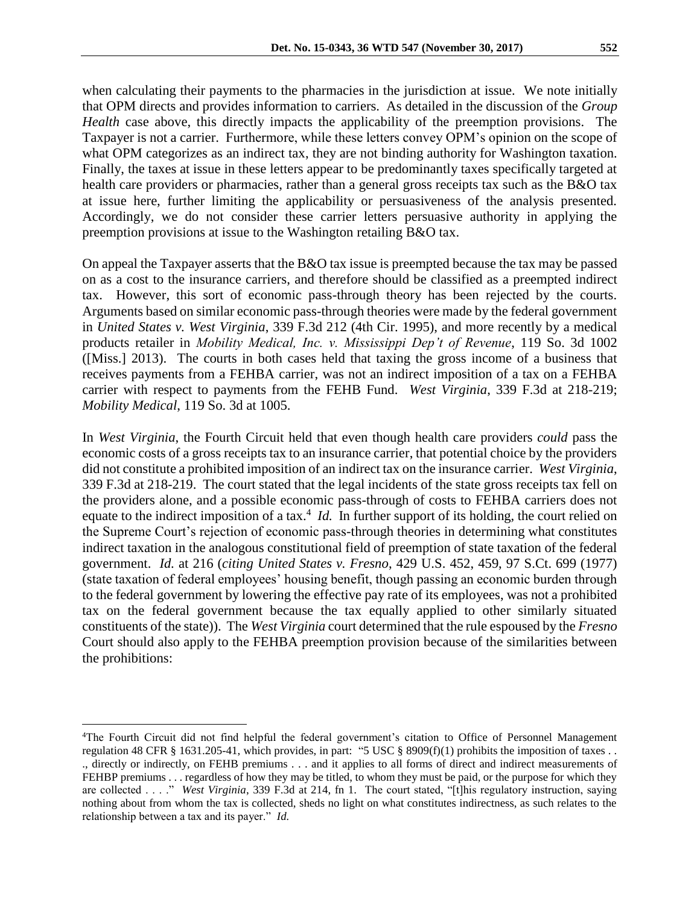when calculating their payments to the pharmacies in the jurisdiction at issue. We note initially that OPM directs and provides information to carriers. As detailed in the discussion of the *Group Health* case above, this directly impacts the applicability of the preemption provisions. The Taxpayer is not a carrier. Furthermore, while these letters convey OPM's opinion on the scope of what OPM categorizes as an indirect tax, they are not binding authority for Washington taxation. Finally, the taxes at issue in these letters appear to be predominantly taxes specifically targeted at health care providers or pharmacies, rather than a general gross receipts tax such as the B&O tax at issue here, further limiting the applicability or persuasiveness of the analysis presented. Accordingly, we do not consider these carrier letters persuasive authority in applying the preemption provisions at issue to the Washington retailing B&O tax.

On appeal the Taxpayer asserts that the B&O tax issue is preempted because the tax may be passed on as a cost to the insurance carriers, and therefore should be classified as a preempted indirect tax. However, this sort of economic pass-through theory has been rejected by the courts. Arguments based on similar economic pass-through theories were made by the federal government in *United States v. West Virginia*, 339 F.3d 212 (4th Cir. 1995), and more recently by a medical products retailer in *Mobility Medical, Inc. v. Mississippi Dep't of Revenue*, 119 So. 3d 1002 ([Miss.] 2013). The courts in both cases held that taxing the gross income of a business that receives payments from a FEHBA carrier, was not an indirect imposition of a tax on a FEHBA carrier with respect to payments from the FEHB Fund. *West Virginia*, 339 F.3d at 218-219; *Mobility Medical*, 119 So. 3d at 1005.

In *West Virginia*, the Fourth Circuit held that even though health care providers *could* pass the economic costs of a gross receipts tax to an insurance carrier, that potential choice by the providers did not constitute a prohibited imposition of an indirect tax on the insurance carrier. *West Virginia*, 339 F.3d at 218-219. The court stated that the legal incidents of the state gross receipts tax fell on the providers alone, and a possible economic pass-through of costs to FEHBA carriers does not equate to the indirect imposition of a tax.<sup>4</sup> *Id.* In further support of its holding, the court relied on the Supreme Court's rejection of economic pass-through theories in determining what constitutes indirect taxation in the analogous constitutional field of preemption of state taxation of the federal government. *Id.* at 216 (*citing United States v. Fresno*, 429 U.S. 452, 459, 97 S.Ct. 699 (1977) (state taxation of federal employees' housing benefit, though passing an economic burden through to the federal government by lowering the effective pay rate of its employees, was not a prohibited tax on the federal government because the tax equally applied to other similarly situated constituents of the state)). The *West Virginia* court determined that the rule espoused by the *Fresno* Court should also apply to the FEHBA preemption provision because of the similarities between the prohibitions:

 $\overline{a}$ 

<sup>4</sup>The Fourth Circuit did not find helpful the federal government's citation to Office of Personnel Management regulation 48 CFR § 1631.205-41, which provides, in part: "5 USC § 8909(f)(1) prohibits the imposition of taxes ... ., directly or indirectly, on FEHB premiums . . . and it applies to all forms of direct and indirect measurements of FEHBP premiums . . . regardless of how they may be titled, to whom they must be paid, or the purpose for which they are collected . . . ." *West Virginia*, 339 F.3d at 214, fn 1. The court stated, "[t]his regulatory instruction, saying nothing about from whom the tax is collected, sheds no light on what constitutes indirectness, as such relates to the relationship between a tax and its payer." *Id.*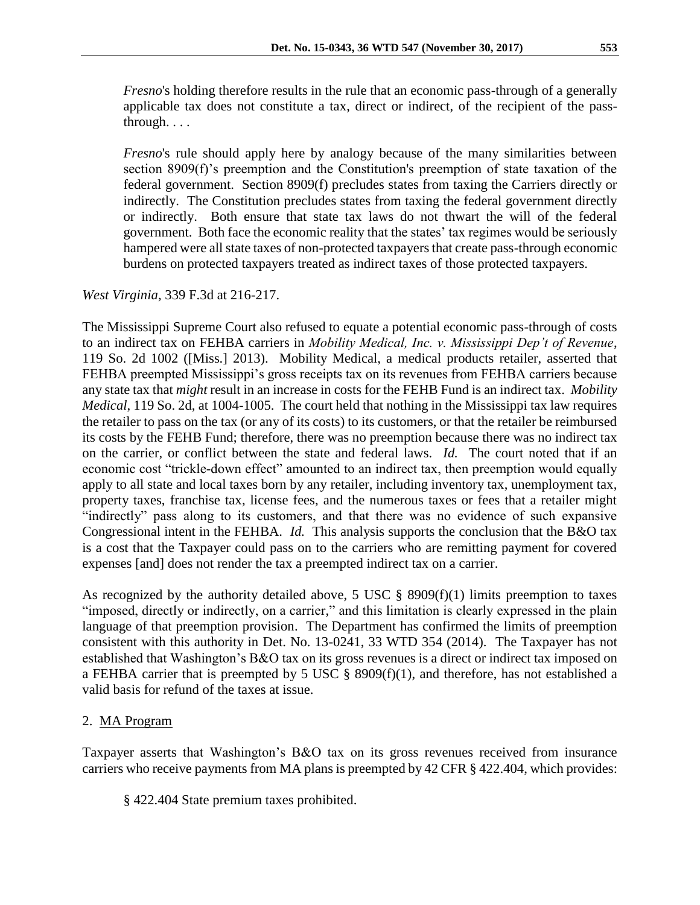*Fresno*'s holding therefore results in the rule that an economic pass-through of a generally applicable tax does not constitute a tax, direct or indirect, of the recipient of the passthrough. . . .

*Fresno*'s rule should apply here by analogy because of the many similarities between section 8909(f)'s preemption and the Constitution's preemption of state taxation of the federal government. Section 8909(f) precludes states from taxing the Carriers directly or indirectly. The Constitution precludes states from taxing the federal government directly or indirectly. Both ensure that state tax laws do not thwart the will of the federal government. Both face the economic reality that the states' tax regimes would be seriously hampered were all state taxes of non-protected taxpayers that create pass-through economic burdens on protected taxpayers treated as indirect taxes of those protected taxpayers.

## *West Virginia*, 339 F.3d at 216-217.

The Mississippi Supreme Court also refused to equate a potential economic pass-through of costs to an indirect tax on FEHBA carriers in *Mobility Medical, Inc. v. Mississippi Dep't of Revenue*, 119 So. 2d 1002 ([Miss.] 2013). Mobility Medical, a medical products retailer, asserted that FEHBA preempted Mississippi's gross receipts tax on its revenues from FEHBA carriers because any state tax that *might* result in an increase in costs for the FEHB Fund is an indirect tax. *Mobility Medical*, 119 So. 2d, at 1004-1005. The court held that nothing in the Mississippi tax law requires the retailer to pass on the tax (or any of its costs) to its customers, or that the retailer be reimbursed its costs by the FEHB Fund; therefore, there was no preemption because there was no indirect tax on the carrier, or conflict between the state and federal laws. *Id.* The court noted that if an economic cost "trickle-down effect" amounted to an indirect tax, then preemption would equally apply to all state and local taxes born by any retailer, including inventory tax, unemployment tax, property taxes, franchise tax, license fees, and the numerous taxes or fees that a retailer might "indirectly" pass along to its customers, and that there was no evidence of such expansive Congressional intent in the FEHBA. *Id.* This analysis supports the conclusion that the B&O tax is a cost that the Taxpayer could pass on to the carriers who are remitting payment for covered expenses [and] does not render the tax a preempted indirect tax on a carrier.

As recognized by the authority detailed above, 5 USC  $\S$  8909(f)(1) limits preemption to taxes "imposed, directly or indirectly, on a carrier," and this limitation is clearly expressed in the plain language of that preemption provision. The Department has confirmed the limits of preemption consistent with this authority in Det. No. 13-0241, 33 WTD 354 (2014). The Taxpayer has not established that Washington's B&O tax on its gross revenues is a direct or indirect tax imposed on a FEHBA carrier that is preempted by 5 USC § 8909(f)(1), and therefore, has not established a valid basis for refund of the taxes at issue.

## 2. MA Program

Taxpayer asserts that Washington's B&O tax on its gross revenues received from insurance carriers who receive payments from MA plans is preempted by 42 CFR § 422.404, which provides:

§ 422.404 State premium taxes prohibited.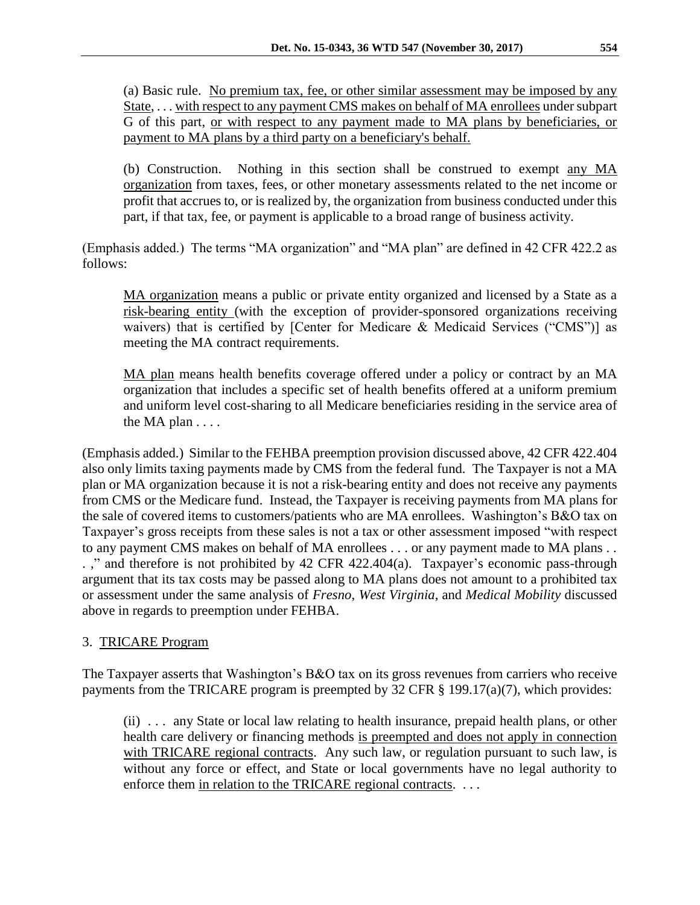(a) Basic rule. No premium tax, fee, or other similar assessment may be imposed by any State, ... with respect to any payment CMS makes on behalf of MA enrollees under subpart G of this part, or with respect to any payment made to MA plans by beneficiaries, or payment to MA plans by a third party on a beneficiary's behalf.

(b) Construction. Nothing in this section shall be construed to exempt any MA organization from taxes, fees, or other monetary assessments related to the net income or profit that accrues to, or is realized by, the organization from business conducted under this part, if that tax, fee, or payment is applicable to a broad range of business activity.

(Emphasis added.) The terms "MA organization" and "MA plan" are defined in 42 CFR 422.2 as follows:

MA organization means a public or private entity organized and licensed by a State as a risk-bearing entity (with the exception of provider-sponsored organizations receiving waivers) that is certified by [Center for Medicare & Medicaid Services ("CMS")] as meeting the MA contract requirements.

MA plan means health benefits coverage offered under a policy or contract by an MA organization that includes a specific set of health benefits offered at a uniform premium and uniform level cost-sharing to all Medicare beneficiaries residing in the service area of the MA plan . . . .

(Emphasis added.) Similar to the FEHBA preemption provision discussed above, 42 CFR 422.404 also only limits taxing payments made by CMS from the federal fund. The Taxpayer is not a MA plan or MA organization because it is not a risk-bearing entity and does not receive any payments from CMS or the Medicare fund. Instead, the Taxpayer is receiving payments from MA plans for the sale of covered items to customers/patients who are MA enrollees. Washington's B&O tax on Taxpayer's gross receipts from these sales is not a tax or other assessment imposed "with respect to any payment CMS makes on behalf of MA enrollees . . . or any payment made to MA plans . . . ," and therefore is not prohibited by 42 CFR 422.404(a). Taxpayer's economic pass-through argument that its tax costs may be passed along to MA plans does not amount to a prohibited tax or assessment under the same analysis of *Fresno*, *West Virginia*, and *Medical Mobility* discussed above in regards to preemption under FEHBA.

## 3. TRICARE Program

The Taxpayer asserts that Washington's B&O tax on its gross revenues from carriers who receive payments from the TRICARE program is preempted by 32 CFR § 199.17(a)(7), which provides:

(ii) . . . any State or local law relating to health insurance, prepaid health plans, or other health care delivery or financing methods is preempted and does not apply in connection with TRICARE regional contracts. Any such law, or regulation pursuant to such law, is without any force or effect, and State or local governments have no legal authority to enforce them in relation to the TRICARE regional contracts. ...